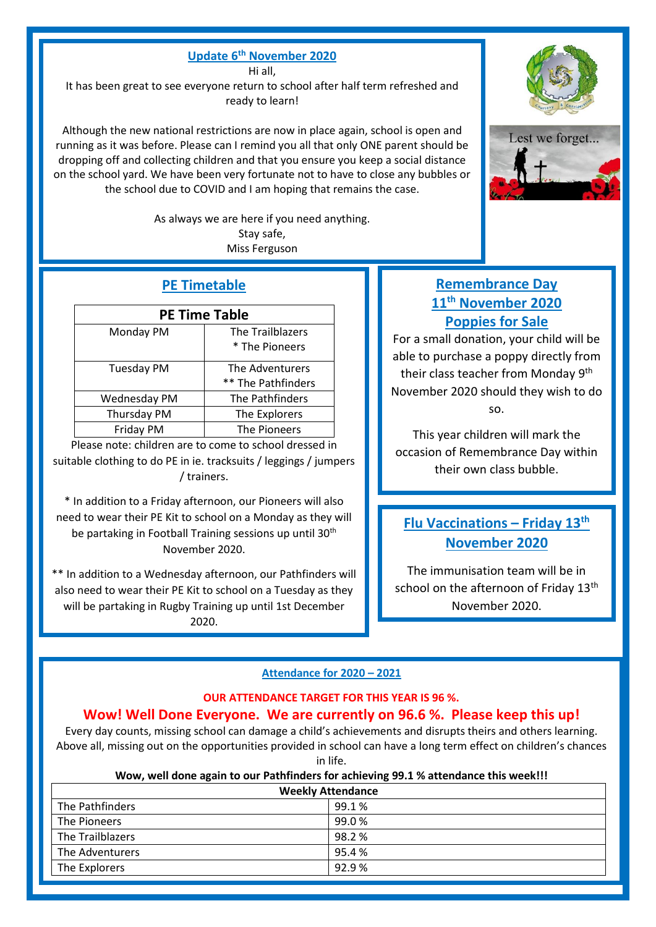### **Update 6 th November 2020**

Hi all,

It has been great to see everyone return to school after half term refreshed and ready to learn!

Although the new national restrictions are now in place again, school is open and running as it was before. Please can I remind you all that only ONE parent should be dropping off and collecting children and that you ensure you keep a social distance on the school yard. We have been very fortunate not to have to close any bubbles or the school due to COVID and I am hoping that remains the case.

> As always we are here if you need anything. Stay safe, Miss Ferguson

## **PE Timetable**

| <b>PE Time Table</b>                  |                                         |  |
|---------------------------------------|-----------------------------------------|--|
| Monday PM                             | The Trailblazers<br>* The Pioneers      |  |
| <b>Tuesday PM</b>                     | The Adventurers<br>** The Pathfinders   |  |
| Wednesday PM                          | The Pathfinders                         |  |
| Thursday PM                           | The Explorers                           |  |
| Friday PM                             | The Pioneers                            |  |
| والمستنقل الاطاري والمستنقل والمنافذة | the contract of the control of the con- |  |

Please note: children are to come to school dressed in suitable clothing to do PE in ie. tracksuits / leggings / jumpers / trainers.

\* In addition to a Friday afternoon, our Pioneers will also need to wear their PE Kit to school on a Monday as they will be partaking in Football Training sessions up until 30<sup>th</sup> November 2020.

\*\* In addition to a Wednesday afternoon, our Pathfinders will also need to wear their PE Kit to school on a Tuesday as they will be partaking in Rugby Training up until 1st December 2020.

# **Remembrance Day 11th November 2020 Poppies for Sale**

For a small donation, your child will be able to purchase a poppy directly from their class teacher from Monday 9<sup>th</sup> November 2020 should they wish to do so.

This year children will mark the occasion of Remembrance Day within their own class bubble.

# **Flu Vaccinations – Friday 13th November 2020**

The immunisation team will be in school on the afternoon of Friday 13<sup>th</sup> November 2020.

### **Attendance for 2020 – 2021**

#### **OUR ATTENDANCE TARGET FOR THIS YEAR IS 96 %.**

### **Wow! Well Done Everyone. We are currently on 96.6 %. Please keep this up!**

Every day counts, missing school can damage a child's achievements and disrupts theirs and others learning. Above all, missing out on the opportunities provided in school can have a long term effect on children's chances in life.

#### **Wow, well done again to our Pathfinders for achieving 99.1 % attendance this week!!!**

| <b>Weekly Attendance</b> |       |  |
|--------------------------|-------|--|
| The Pathfinders          | 99.1% |  |
| The Pioneers             | 99.0% |  |
| The Trailblazers         | 98.2% |  |
| The Adventurers          | 95.4% |  |
| The Explorers            | 92.9% |  |